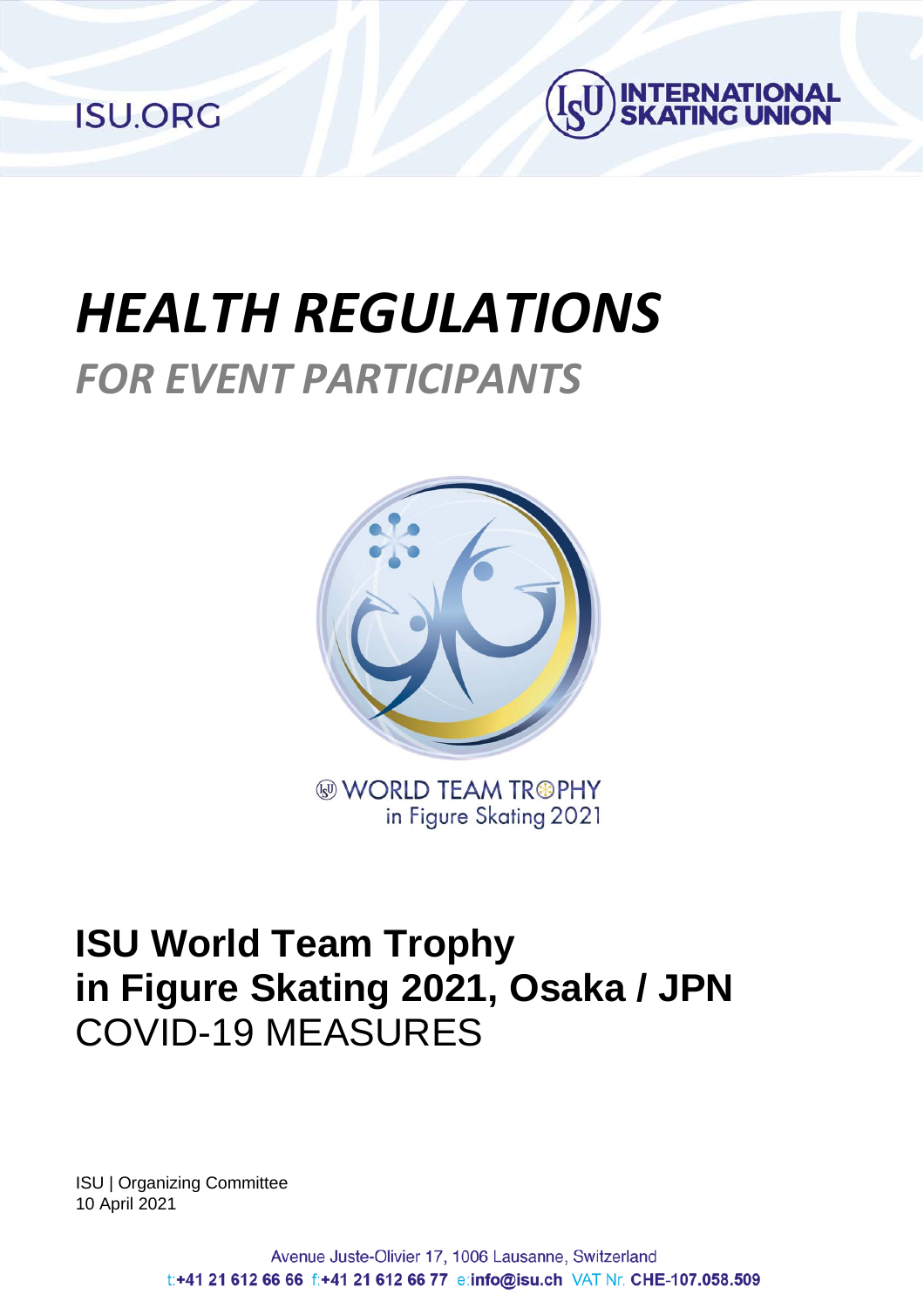**ISU.ORG** 



# *HEALTH REGULATIONS FOR EVENT PARTICIPANTS*



**WORLD TEAM TR®PHY** in Figure Skating 2021

### **ISU World Team Trophy in Figure Skating 2021, Osaka / JPN** COVID-19 MEASURES

ISU | Organizing Committee 10 April 2021

> Avenue Juste-Olivier 17, 1006 Lausanne, Switzerland t:+41 21 612 66 66 f:+41 21 612 66 77 e:info@isu.ch VAT Nr. CHE-107.058.509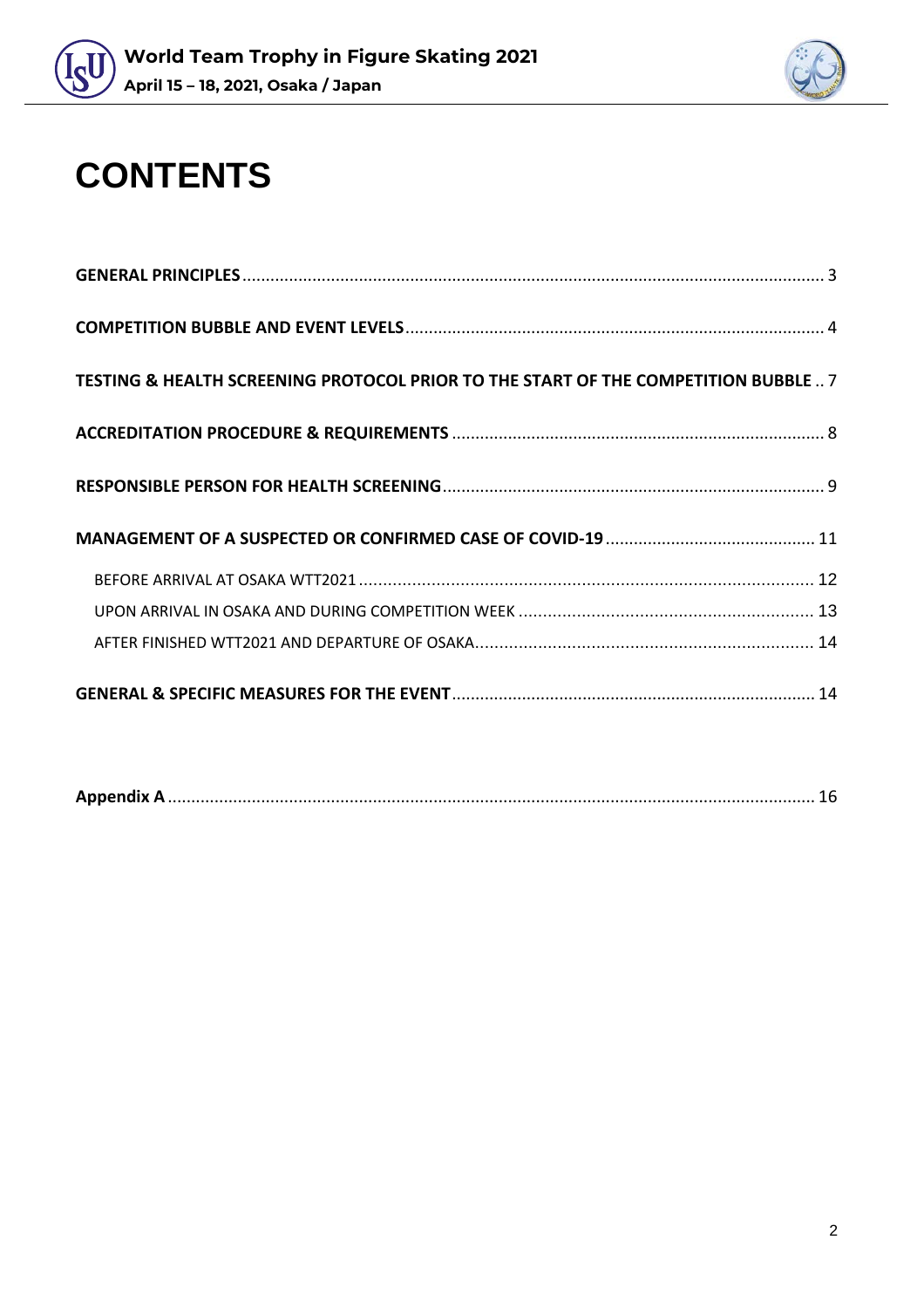



## **CONTENTS**

| TESTING & HEALTH SCREENING PROTOCOL PRIOR TO THE START OF THE COMPETITION BUBBLE 7 |  |
|------------------------------------------------------------------------------------|--|
|                                                                                    |  |
|                                                                                    |  |
|                                                                                    |  |
|                                                                                    |  |
|                                                                                    |  |
|                                                                                    |  |
|                                                                                    |  |

|--|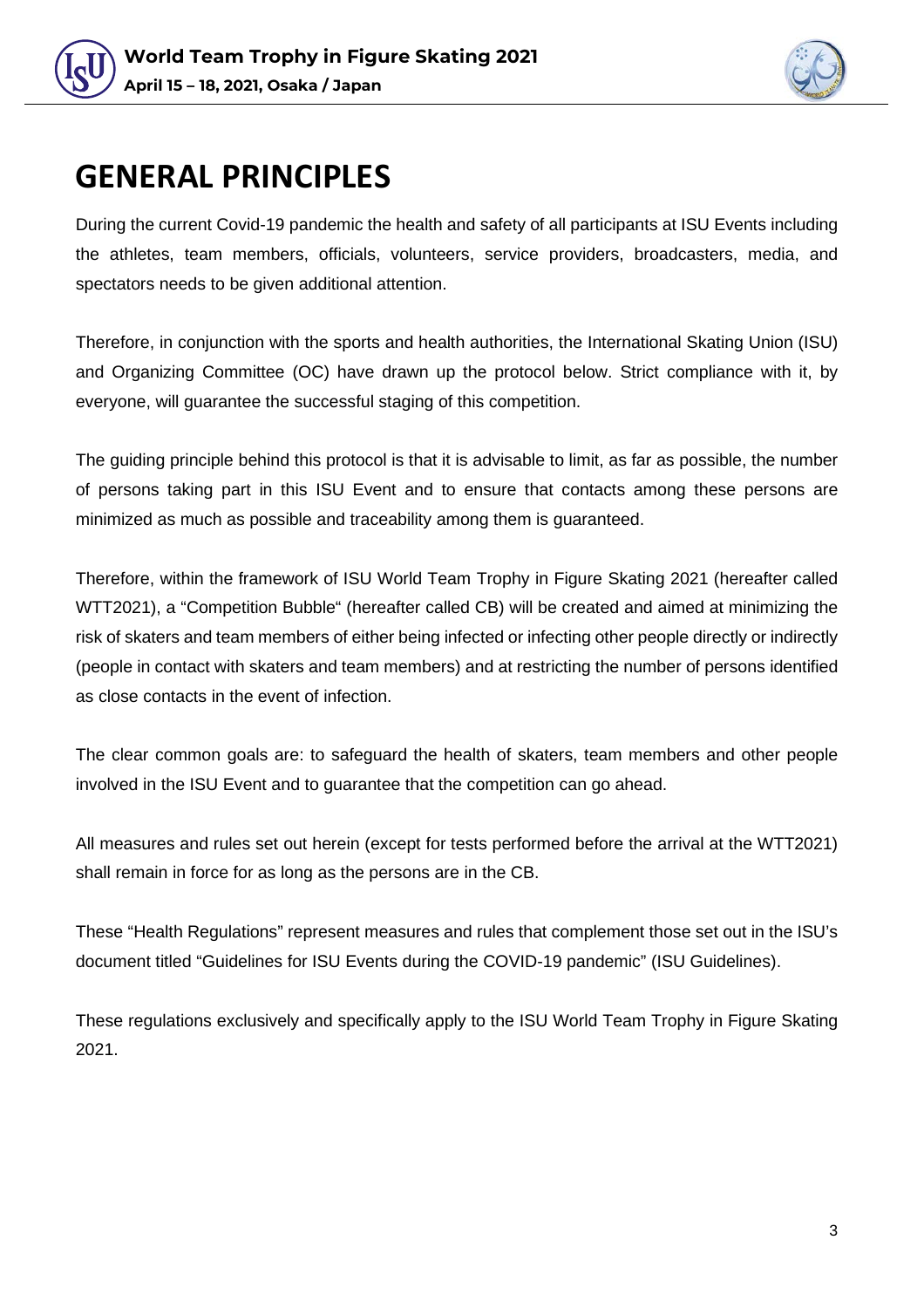



### <span id="page-2-0"></span>**GENERAL PRINCIPLES**

During the current Covid-19 pandemic the health and safety of all participants at ISU Events including the athletes, team members, officials, volunteers, service providers, broadcasters, media, and spectators needs to be given additional attention.

Therefore, in conjunction with the sports and health authorities, the International Skating Union (ISU) and Organizing Committee (OC) have drawn up the protocol below. Strict compliance with it, by everyone, will guarantee the successful staging of this competition.

The guiding principle behind this protocol is that it is advisable to limit, as far as possible, the number of persons taking part in this ISU Event and to ensure that contacts among these persons are minimized as much as possible and traceability among them is guaranteed.

Therefore, within the framework of ISU World Team Trophy in Figure Skating 2021 (hereafter called WTT2021), a "Competition Bubble" (hereafter called CB) will be created and aimed at minimizing the risk of skaters and team members of either being infected or infecting other people directly or indirectly (people in contact with skaters and team members) and at restricting the number of persons identified as close contacts in the event of infection.

The clear common goals are: to safeguard the health of skaters, team members and other people involved in the ISU Event and to guarantee that the competition can go ahead.

All measures and rules set out herein (except for tests performed before the arrival at the WTT2021) shall remain in force for as long as the persons are in the CB.

These "Health Regulations" represent measures and rules that complement those set out in the ISU's document titled "Guidelines for ISU Events during the COVID-19 pandemic" (ISU Guidelines).

These regulations exclusively and specifically apply to the ISU World Team Trophy in Figure Skating 2021.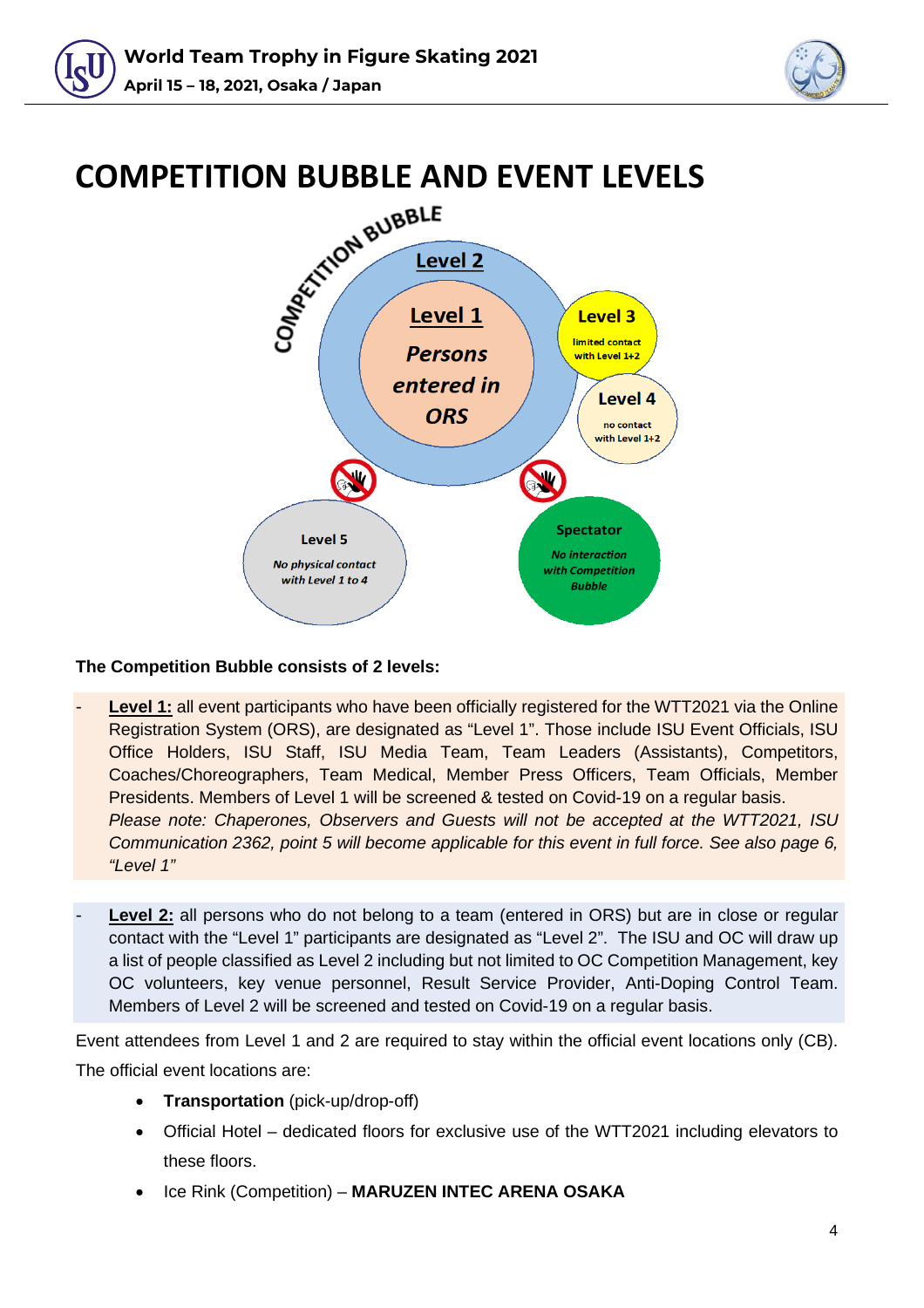



<span id="page-3-0"></span>

#### **The Competition Bubble consists of 2 levels:**

- **Level 1:** all event participants who have been officially registered for the WTT2021 via the Online Registration System (ORS), are designated as "Level 1". Those include ISU Event Officials, ISU Office Holders, ISU Staff, ISU Media Team, Team Leaders (Assistants), Competitors, Coaches/Choreographers, Team Medical, Member Press Officers, Team Officials, Member Presidents. Members of Level 1 will be screened & tested on Covid-19 on a regular basis. *Please note: Chaperones, Observers and Guests will not be accepted at the WTT2021, ISU Communication 2362, point 5 will become applicable for this event in full force. See also page 6, "Level 1"*
- **Level 2:** all persons who do not belong to a team (entered in ORS) but are in close or regular contact with the "Level 1" participants are designated as "Level 2". The ISU and OC will draw up a list of people classified as Level 2 including but not limited to OC Competition Management, key OC volunteers, key venue personnel, Result Service Provider, Anti-Doping Control Team. Members of Level 2 will be screened and tested on Covid-19 on a regular basis.

Event attendees from Level 1 and 2 are required to stay within the official event locations only (CB). The official event locations are:

- **Transportation** (pick-up/drop-off)
- Official Hotel dedicated floors for exclusive use of the WTT2021 including elevators to these floors.
- Ice Rink (Competition) **MARUZEN INTEC ARENA OSAKA**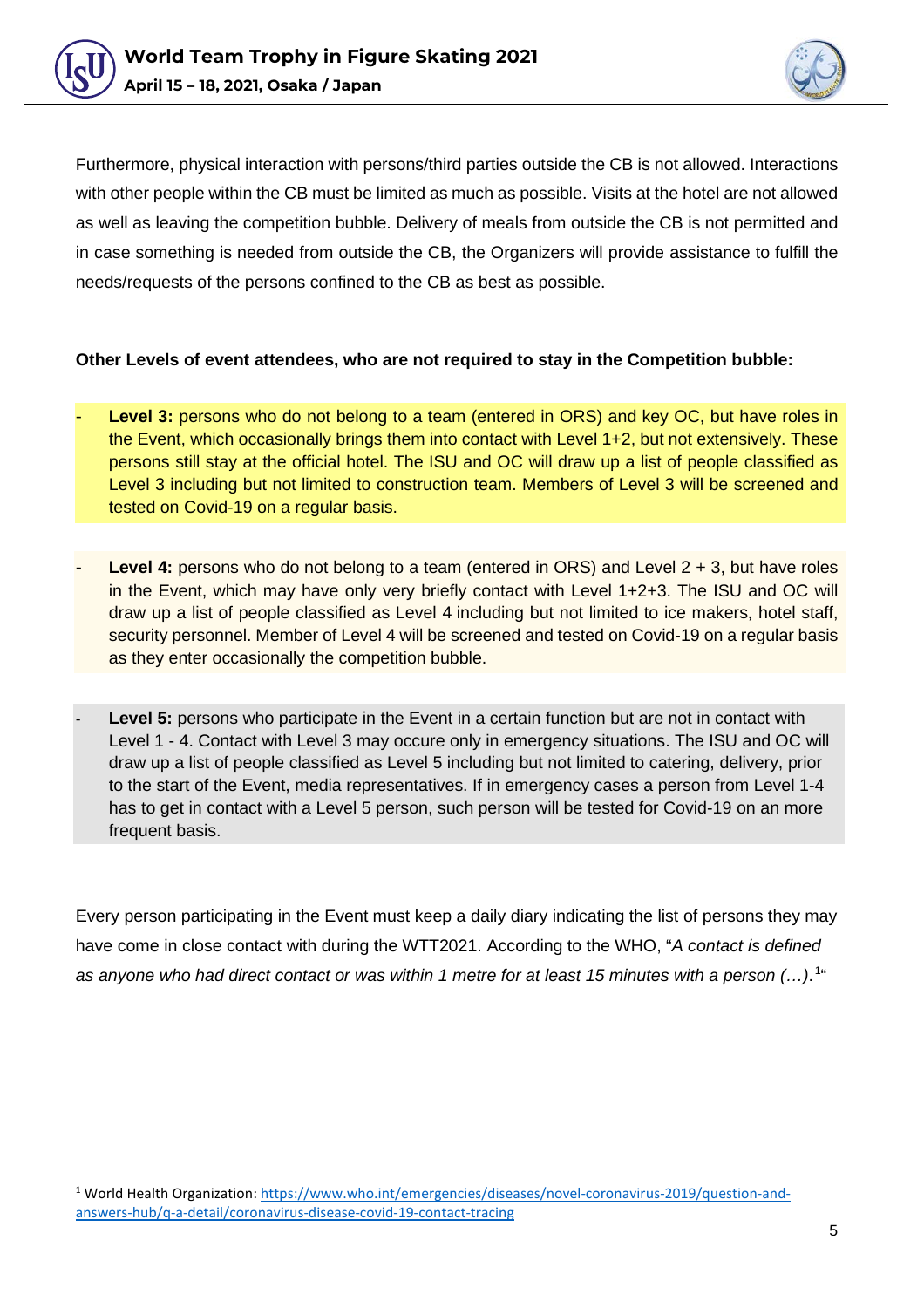



Furthermore, physical interaction with persons/third parties outside the CB is not allowed. Interactions with other people within the CB must be limited as much as possible. Visits at the hotel are not allowed as well as leaving the competition bubble. Delivery of meals from outside the CB is not permitted and in case something is needed from outside the CB, the Organizers will provide assistance to fulfill the needs/requests of the persons confined to the CB as best as possible.

#### **Other Levels of event attendees, who are not required to stay in the Competition bubble:**

- **Level 3:** persons who do not belong to a team (entered in ORS) and key OC, but have roles in the Event, which occasionally brings them into contact with Level 1+2, but not extensively. These persons still stay at the official hotel. The ISU and OC will draw up a list of people classified as Level 3 including but not limited to construction team. Members of Level 3 will be screened and tested on Covid-19 on a regular basis.
- **Level 4:** persons who do not belong to a team (entered in ORS) and Level 2 + 3, but have roles in the Event, which may have only very briefly contact with Level 1+2+3. The ISU and OC will draw up a list of people classified as Level 4 including but not limited to ice makers, hotel staff, security personnel. Member of Level 4 will be screened and tested on Covid-19 on a regular basis as they enter occasionally the competition bubble.
- **Level 5:** persons who participate in the Event in a certain function but are not in contact with Level 1 - 4. Contact with Level 3 may occure only in emergency situations. The ISU and OC will draw up a list of people classified as Level 5 including but not limited to catering, delivery, prior to the start of the Event, media representatives. If in emergency cases a person from Level 1-4 has to get in contact with a Level 5 person, such person will be tested for Covid-19 on an more frequent basis.

Every person participating in the Event must keep a daily diary indicating the list of persons they may have come in close contact with during the WTT2021. According to the WHO, "*A contact is defined as anyone who had direct contact or was within 1 metre for at least 15 minutes with a person (…)*.[1](#page-4-0) "

<span id="page-4-0"></span><sup>1</sup> World Health Organization: [https://www.who.int/emergencies/diseases/novel-coronavirus-2019/question-and](https://www.who.int/emergencies/diseases/novel-coronavirus-2019/question-and-answers-hub/q-a-detail/coronavirus-disease-covid-19-contact-tracing)[answers-hub/q-a-detail/coronavirus-disease-covid-19-contact-tracing](https://www.who.int/emergencies/diseases/novel-coronavirus-2019/question-and-answers-hub/q-a-detail/coronavirus-disease-covid-19-contact-tracing)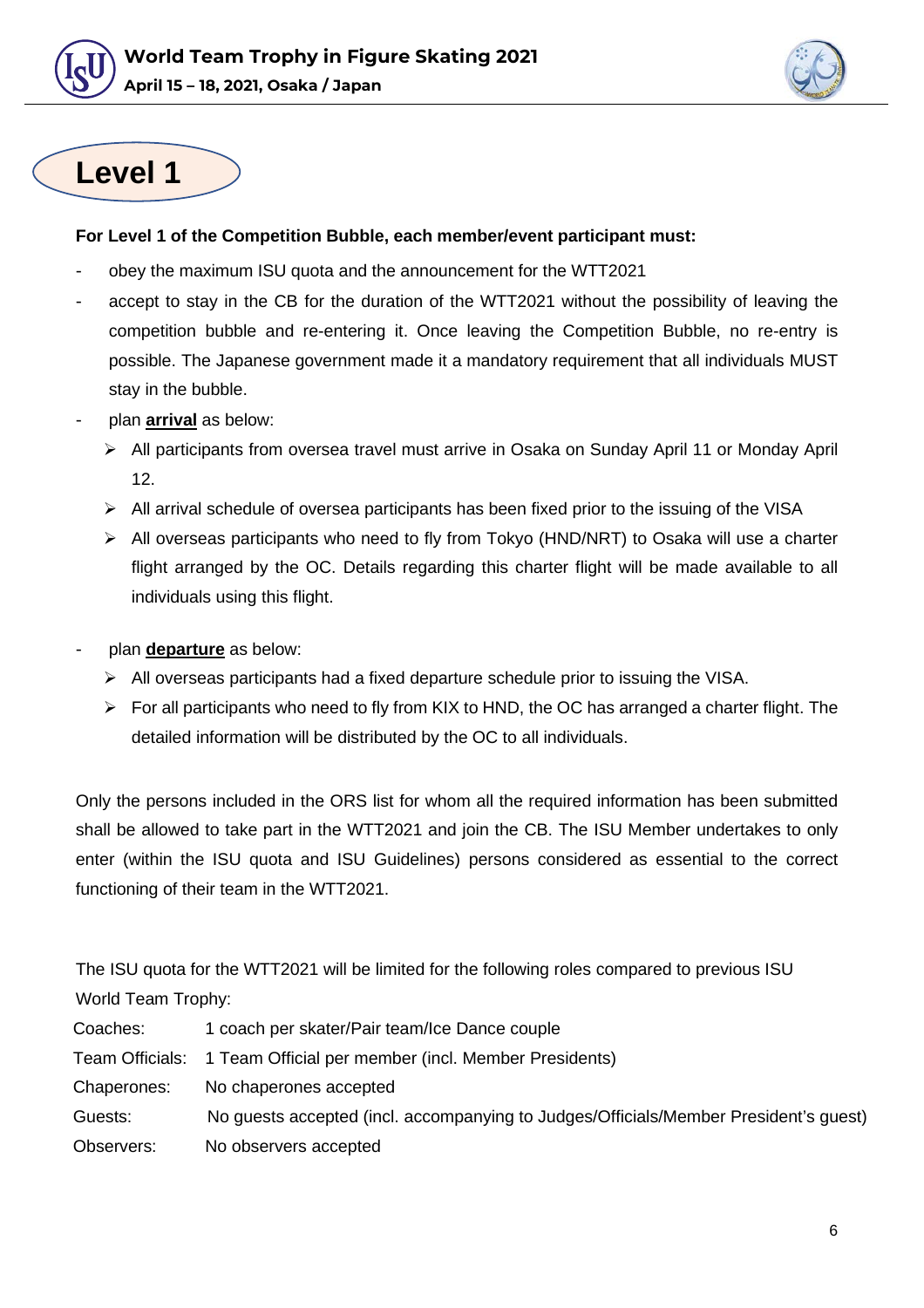



### **Level 1**

#### **For Level 1 of the Competition Bubble, each member/event participant must:**

- obey the maximum ISU quota and the announcement for the WTT2021
- accept to stay in the CB for the duration of the WTT2021 without the possibility of leaving the competition bubble and re-entering it. Once leaving the Competition Bubble, no re-entry is possible. The Japanese government made it a mandatory requirement that all individuals MUST stay in the bubble.
- plan **arrival** as below:
	- All participants from oversea travel must arrive in Osaka on Sunday April 11 or Monday April 12.
	- $\triangleright$  All arrival schedule of oversea participants has been fixed prior to the issuing of the VISA
	- $\triangleright$  All overseas participants who need to fly from Tokyo (HND/NRT) to Osaka will use a charter flight arranged by the OC. Details regarding this charter flight will be made available to all individuals using this flight.
- plan **departure** as below:
	- $\triangleright$  All overseas participants had a fixed departure schedule prior to issuing the VISA.
	- $\triangleright$  For all participants who need to fly from KIX to HND, the OC has arranged a charter flight. The detailed information will be distributed by the OC to all individuals.

Only the persons included in the ORS list for whom all the required information has been submitted shall be allowed to take part in the WTT2021 and join the CB. The ISU Member undertakes to only enter (within the ISU quota and ISU Guidelines) persons considered as essential to the correct functioning of their team in the WTT2021.

The ISU quota for the WTT2021 will be limited for the following roles compared to previous ISU World Team Trophy:

| Coaches:    | 1 coach per skater/Pair team/Ice Dance couple                                        |
|-------------|--------------------------------------------------------------------------------------|
|             | Team Officials: 1 Team Official per member (incl. Member Presidents)                 |
| Chaperones: | No chaperones accepted                                                               |
| Guests:     | No guests accepted (incl. accompanying to Judges/Officials/Member President's guest) |
| Observers:  | No observers accepted                                                                |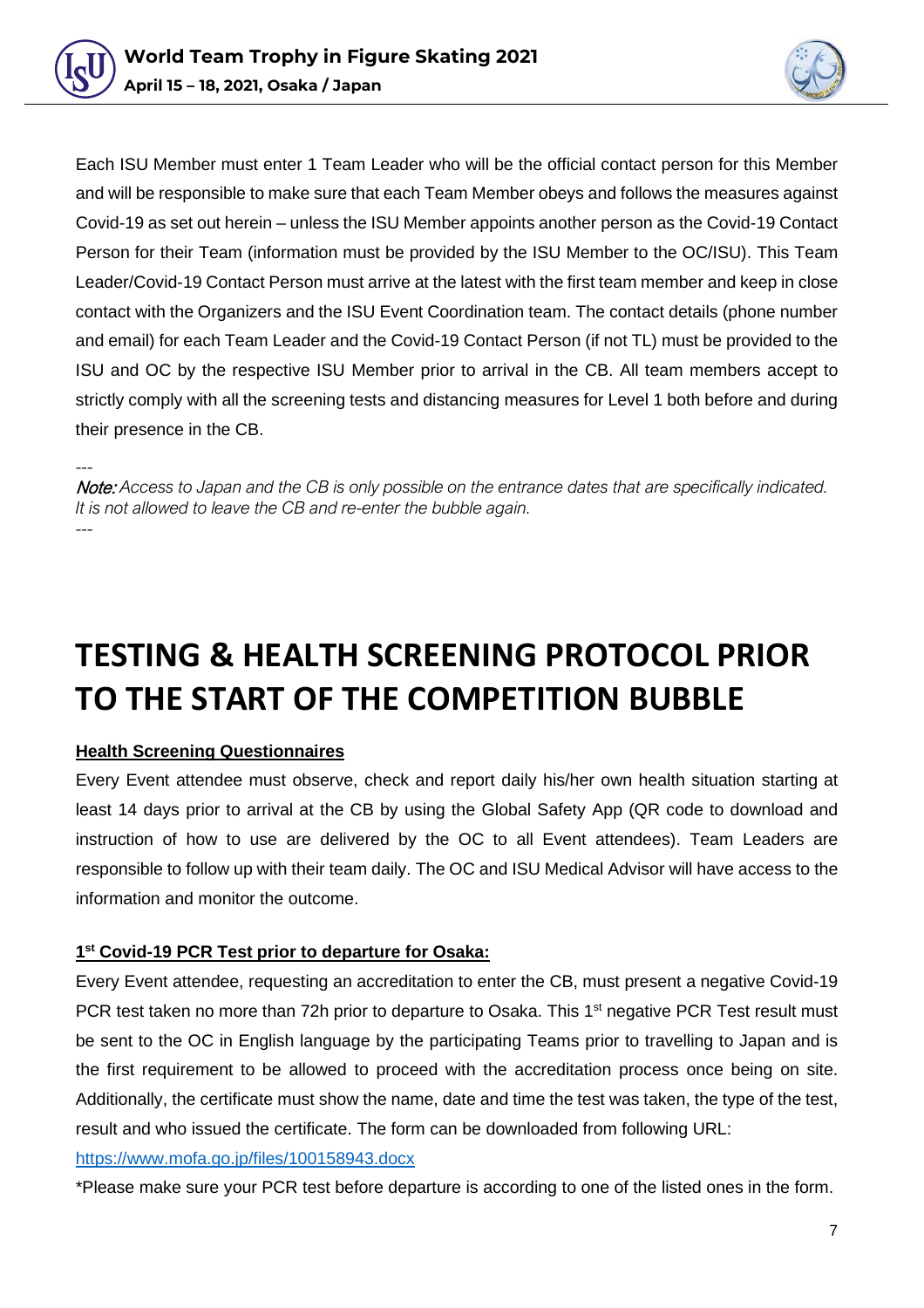



Each ISU Member must enter 1 Team Leader who will be the official contact person for this Member and will be responsible to make sure that each Team Member obeys and follows the measures against Covid-19 as set out herein – unless the ISU Member appoints another person as the Covid-19 Contact Person for their Team (information must be provided by the ISU Member to the OC/ISU). This Team Leader/Covid-19 Contact Person must arrive at the latest with the first team member and keep in close contact with the Organizers and the ISU Event Coordination team. The contact details (phone number and email) for each Team Leader and the Covid-19 Contact Person (if not TL) must be provided to the ISU and OC by the respective ISU Member prior to arrival in the CB. All team members accept to strictly comply with all the screening tests and distancing measures for Level 1 both before and during their presence in the CB.

--- Note: *Access to Japan and the CB is only possible on the entrance dates that are specifically indicated. It is not allowed to leave the CB and re-enter the bubble again.* ---

### <span id="page-6-0"></span>**TESTING & HEALTH SCREENING PROTOCOL PRIOR TO THE START OF THE COMPETITION BUBBLE**

#### **Health Screening Questionnaires**

Every Event attendee must observe, check and report daily his/her own health situation starting at least 14 days prior to arrival at the CB by using the Global Safety App (QR code to download and instruction of how to use are delivered by the OC to all Event attendees). Team Leaders are responsible to follow up with their team daily. The OC and ISU Medical Advisor will have access to the information and monitor the outcome.

#### **1st Covid-19 PCR Test prior to departure for Osaka:**

Every Event attendee, requesting an accreditation to enter the CB, must present a negative Covid-19 PCR test taken no more than 72h prior to departure to Osaka. This 1<sup>st</sup> negative PCR Test result must be sent to the OC in English language by the participating Teams prior to travelling to Japan and is the first requirement to be allowed to proceed with the accreditation process once being on site. Additionally, the certificate must show the name, date and time the test was taken, the type of the test, result and who issued the certificate. The form can be downloaded from following URL:

#### <https://www.mofa.go.jp/files/100158943.docx>

\*Please make sure your PCR test before departure is according to one of the listed ones in the form.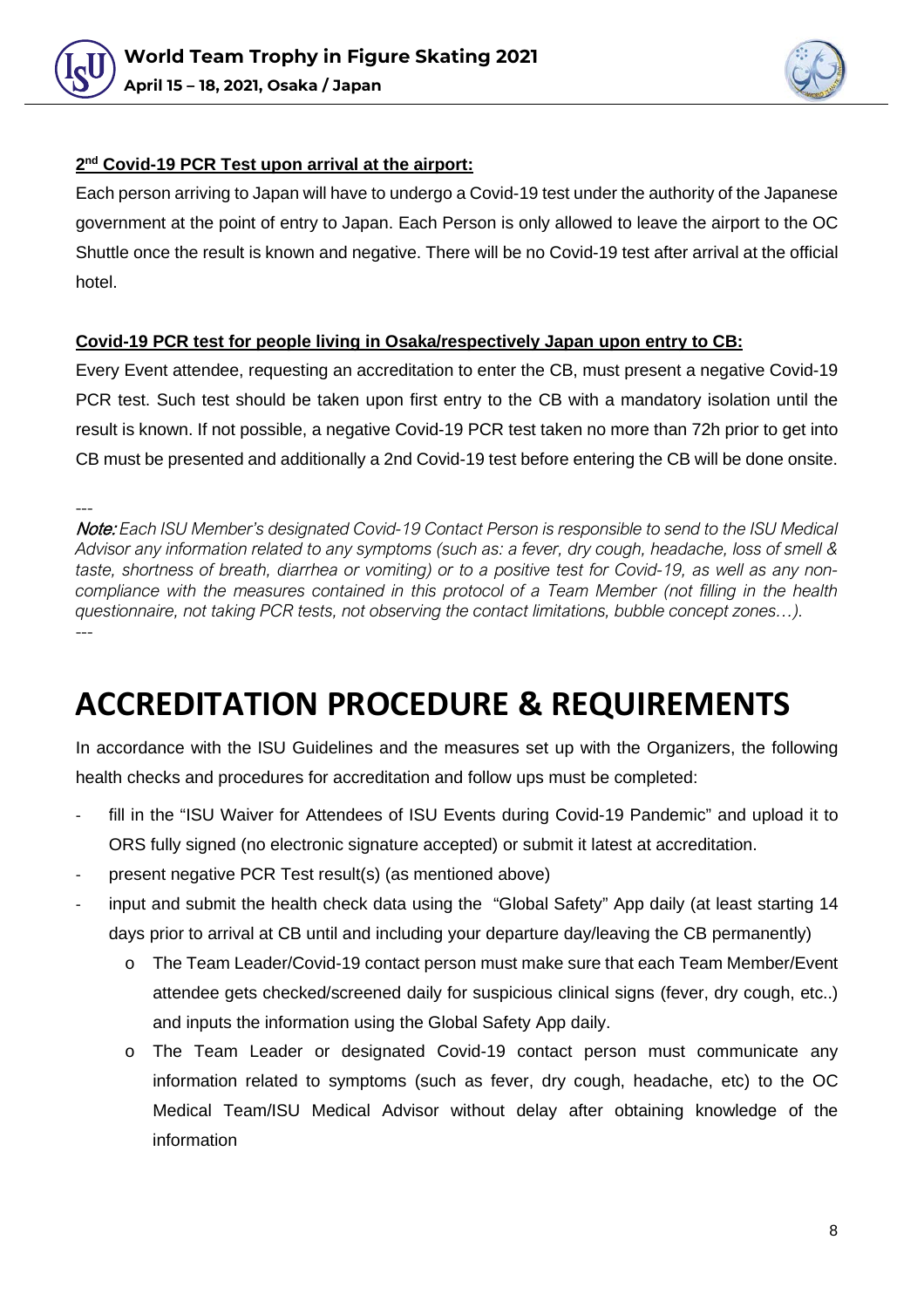



#### **2nd Covid-19 PCR Test upon arrival at the airport:**

Each person arriving to Japan will have to undergo a Covid-19 test under the authority of the Japanese government at the point of entry to Japan. Each Person is only allowed to leave the airport to the OC Shuttle once the result is known and negative. There will be no Covid-19 test after arrival at the official hotel.

#### **Covid-19 PCR test for people living in Osaka/respectively Japan upon entry to CB:**

Every Event attendee, requesting an accreditation to enter the CB, must present a negative Covid-19 PCR test. Such test should be taken upon first entry to the CB with a mandatory isolation until the result is known. If not possible, a negative Covid-19 PCR test taken no more than 72h prior to get into CB must be presented and additionally a 2nd Covid-19 test before entering the CB will be done onsite.

---

Note: *Each ISU Member's designated Covid-19 Contact Person is responsible to send to the ISU Medical Advisor any information related to any symptoms (such as: a fever, dry cough, headache, loss of smell & taste, shortness of breath, diarrhea or vomiting) or to a positive test for Covid-19, as well as any noncompliance with the measures contained in this protocol of a Team Member (not filling in the health questionnaire, not taking PCR tests, not observing the contact limitations, bubble concept zones…).* ---

### <span id="page-7-0"></span>**ACCREDITATION PROCEDURE & REQUIREMENTS**

In accordance with the ISU Guidelines and the measures set up with the Organizers, the following health checks and procedures for accreditation and follow ups must be completed:

- fill in the "ISU Waiver for Attendees of ISU Events during Covid-19 Pandemic" and upload it to ORS fully signed (no electronic signature accepted) or submit it latest at accreditation.
- present negative PCR Test result(s) (as mentioned above)
- <span id="page-7-1"></span>input and submit the health check data using the "Global Safety" App daily (at least starting 14 days prior to arrival at CB until and including your departure day/leaving the CB permanently)
	- o The Team Leader/Covid-19 contact person must make sure that each Team Member/Event attendee gets checked/screened daily for suspicious clinical signs (fever, dry cough, etc..) and inputs the information using the Global Safety App daily.
	- o The Team Leader or designated Covid-19 contact person must communicate any information related to symptoms (such as fever, dry cough, headache, etc) to the OC Medical Team/ISU Medical Advisor without delay after obtaining knowledge of the information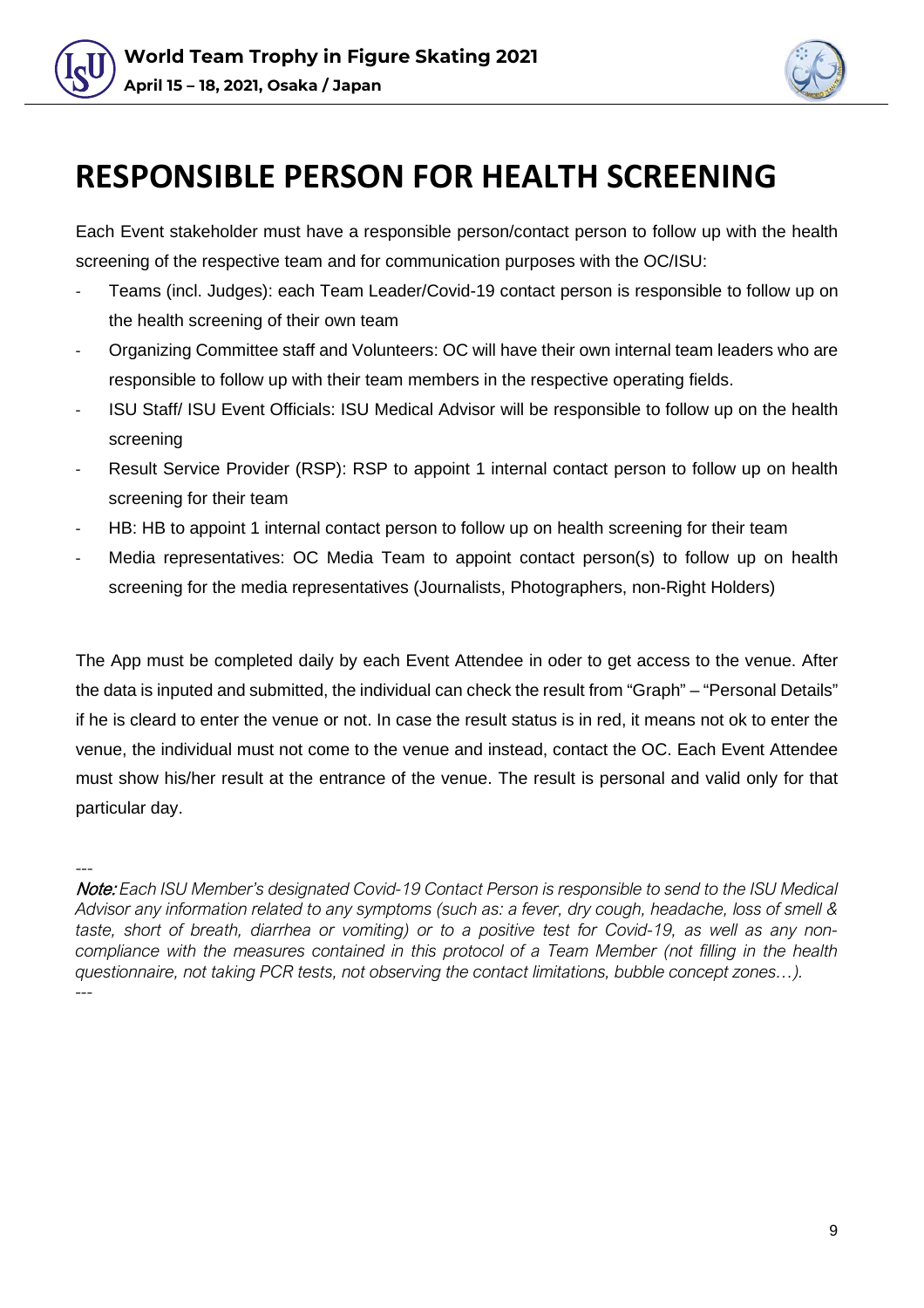



### **RESPONSIBLE PERSON FOR HEALTH SCREENING**

Each Event stakeholder must have a responsible person/contact person to follow up with the health screening of the respective team and for communication purposes with the OC/ISU:

- Teams (incl. Judges): each Team Leader/Covid-19 contact person is responsible to follow up on the health screening of their own team
- Organizing Committee staff and Volunteers: OC will have their own internal team leaders who are responsible to follow up with their team members in the respective operating fields.
- ISU Staff/ ISU Event Officials: ISU Medical Advisor will be responsible to follow up on the health screening
- Result Service Provider (RSP): RSP to appoint 1 internal contact person to follow up on health screening for their team
- HB: HB to appoint 1 internal contact person to follow up on health screening for their team
- Media representatives: OC Media Team to appoint contact person(s) to follow up on health screening for the media representatives (Journalists, Photographers, non-Right Holders)

The App must be completed daily by each Event Attendee in oder to get access to the venue. After the data is inputed and submitted, the individual can check the result from "Graph" – "Personal Details" if he is cleard to enter the venue or not. In case the result status is in red, it means not ok to enter the venue, the individual must not come to the venue and instead, contact the OC. Each Event Attendee must show his/her result at the entrance of the venue. The result is personal and valid only for that particular day.

<sup>---</sup> Note: *Each ISU Member's designated Covid-19 Contact Person is responsible to send to the ISU Medical Advisor any information related to any symptoms (such as: a fever, dry cough, headache, loss of smell & taste, short of breath, diarrhea or vomiting) or to a positive test for Covid-19, as well as any noncompliance with the measures contained in this protocol of a Team Member (not filling in the health questionnaire, not taking PCR tests, not observing the contact limitations, bubble concept zones…). ---*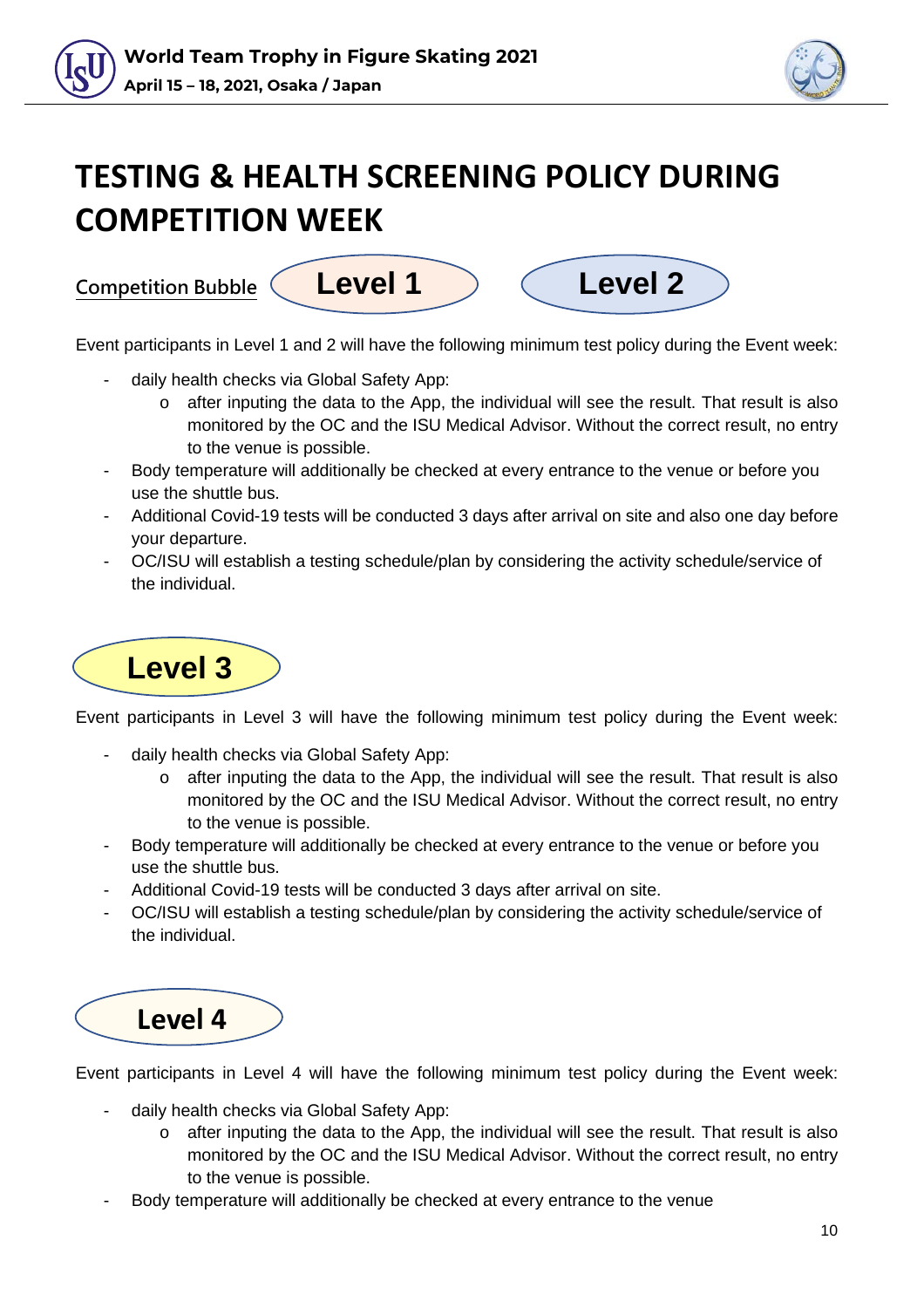



### **TESTING & HEALTH SCREENING POLICY DURING COMPETITION WEEK**



Event participants in Level 1 and 2 will have the following minimum test policy during the Event week:

- daily health checks via Global Safety App:
	- $\circ$  after inputing the data to the App, the individual will see the result. That result is also monitored by the OC and the ISU Medical Advisor. Without the correct result, no entry to the venue is possible.
- Body temperature will additionally be checked at every entrance to the venue or before you use the shuttle bus.
- Additional Covid-19 tests will be conducted 3 days after arrival on site and also one day before your departure.
- OC/ISU will establish a testing schedule/plan by considering the activity schedule/service of the individual.



Event participants in Level 3 will have the following minimum test policy during the Event week:

- daily health checks via Global Safety App:
	- o after inputing the data to the App, the individual will see the result. That result is also monitored by the OC and the ISU Medical Advisor. Without the correct result, no entry to the venue is possible.
- Body temperature will additionally be checked at every entrance to the venue or before you use the shuttle bus.
- Additional Covid-19 tests will be conducted 3 days after arrival on site.
- OC/ISU will establish a testing schedule/plan by considering the activity schedule/service of the individual.



Event participants in Level 4 will have the following minimum test policy during the Event week:

- daily health checks via Global Safety App:
	- $\circ$  after inputing the data to the App, the individual will see the result. That result is also monitored by the OC and the ISU Medical Advisor. Without the correct result, no entry to the venue is possible.
- Body temperature will additionally be checked at every entrance to the venue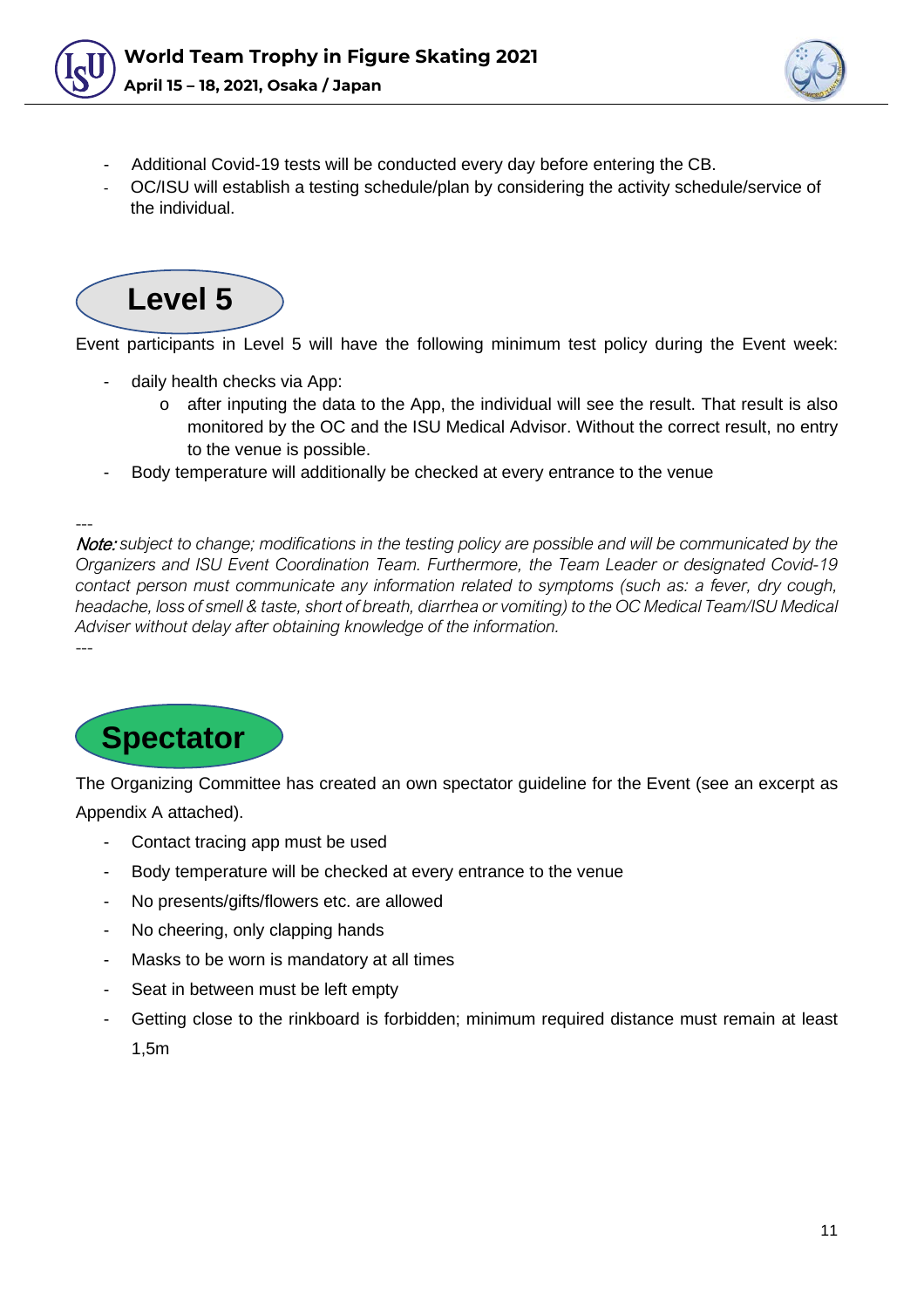



- Additional Covid-19 tests will be conducted every day before entering the CB.
- OC/ISU will establish a testing schedule/plan by considering the activity schedule/service of the individual.



Event participants in Level 5 will have the following minimum test policy during the Event week:

- daily health checks via App:
	- $\circ$  after inputing the data to the App, the individual will see the result. That result is also monitored by the OC and the ISU Medical Advisor. Without the correct result, no entry to the venue is possible.
- Body temperature will additionally be checked at every entrance to the venue

--- Note: *subject to change; modifications in the testing policy are possible and will be communicated by the Organizers and ISU Event Coordination Team. Furthermore, the Team Leader or designated Covid-19 contact person must communicate any information related to symptoms (such as: a fever, dry cough, headache, loss of smell & taste, short of breath, diarrhea or vomiting) to the OC Medical Team/ISU Medical Adviser without delay after obtaining knowledge of the information.* ---

<span id="page-10-0"></span>

The Organizing Committee has created an own spectator guideline for the Event (see an excerpt as Appendix A attached).

- Contact tracing app must be used
- Body temperature will be checked at every entrance to the venue
- No presents/gifts/flowers etc. are allowed
- No cheering, only clapping hands
- Masks to be worn is mandatory at all times
- Seat in between must be left empty
- Getting close to the rinkboard is forbidden; minimum required distance must remain at least 1,5m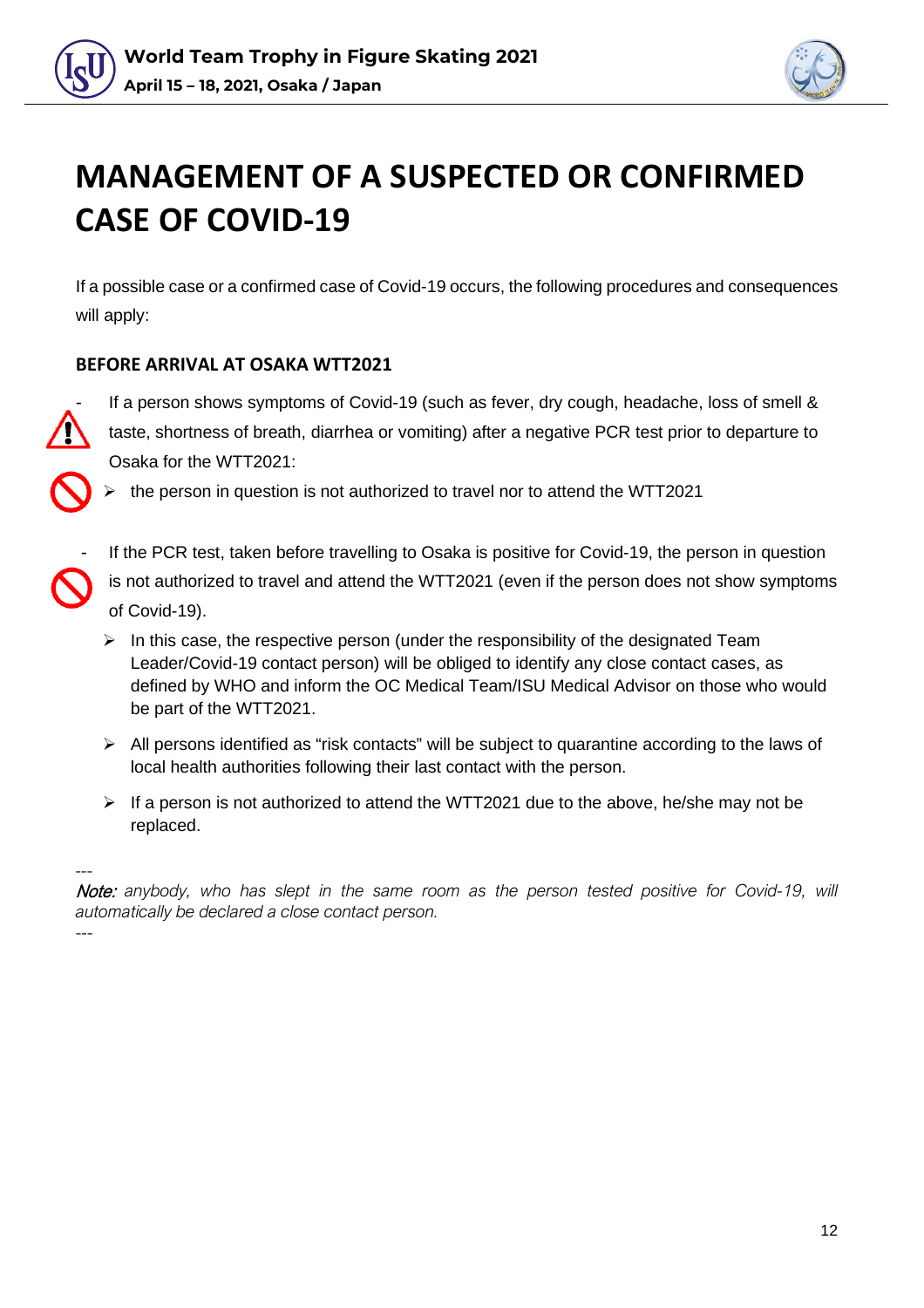



### **MANAGEMENT OF A SUSPECTED OR CONFIRMED CASE OF COVID-19**

If a possible case or a confirmed case of Covid-19 occurs, the following procedures and consequences will apply:

### <span id="page-11-0"></span>**BEFORE ARRIVAL AT OSAKA WTT2021**

If a person shows symptoms of Covid-19 (such as fever, dry cough, headache, loss of smell & taste, shortness of breath, diarrhea or vomiting) after a negative PCR test prior to departure to Osaka for the WTT2021:

the person in question is not authorized to travel nor to attend the WTT2021

If the PCR test, taken before travelling to Osaka is positive for Covid-19, the person in question

is not authorized to travel and attend the WTT2021 (even if the person does not show symptoms of Covid-19).

- $\triangleright$  In this case, the respective person (under the responsibility of the designated Team Leader/Covid-19 contact person) will be obliged to identify any close contact cases, as defined by WHO and inform the OC Medical Team/ISU Medical Advisor on those who would be part of the WTT2021.
- $\triangleright$  All persons identified as "risk contacts" will be subject to quarantine according to the laws of local health authorities following their last contact with the person.
- $\triangleright$  If a person is not authorized to attend the WTT2021 due to the above, he/she may not be replaced.

*---* Note: *anybody, who has slept in the same room as the person tested positive for Covid-19, will automatically be declared a close contact person.*

<span id="page-11-1"></span>---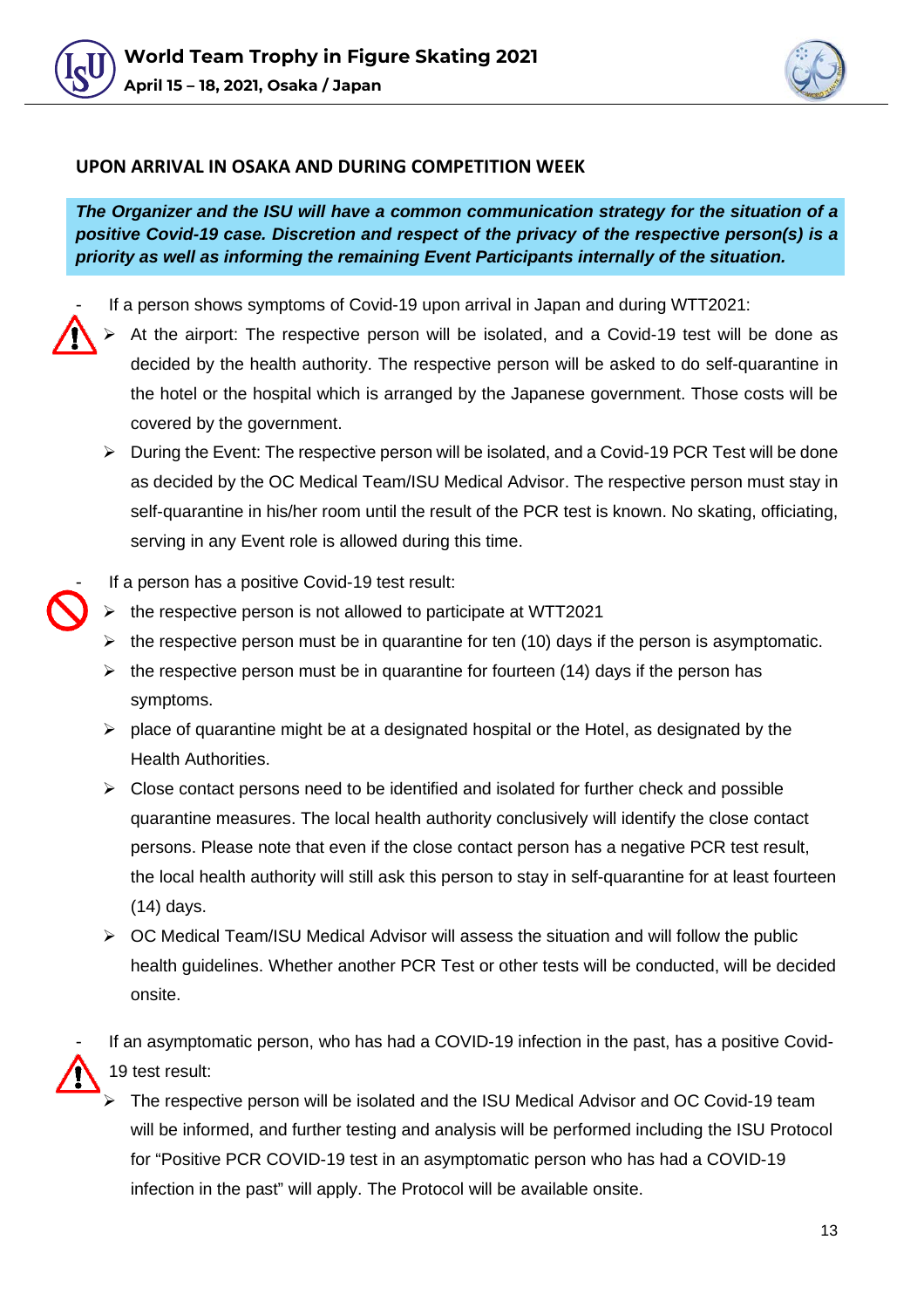



#### **UPON ARRIVAL IN OSAKA AND DURING COMPETITION WEEK**

*The Organizer and the ISU will have a common communication strategy for the situation of a positive Covid-19 case. Discretion and respect of the privacy of the respective person(s) is a priority as well as informing the remaining Event Participants internally of the situation.*

If a person shows symptoms of Covid-19 upon arrival in Japan and during WTT2021:

- At the airport: The respective person will be isolated, and a Covid-19 test will be done as decided by the health authority. The respective person will be asked to do self-quarantine in the hotel or the hospital which is arranged by the Japanese government. Those costs will be covered by the government.
- $\triangleright$  During the Event: The respective person will be isolated, and a Covid-19 PCR Test will be done as decided by the OC Medical Team/ISU Medical Advisor. The respective person must stay in self-quarantine in his/her room until the result of the PCR test is known. No skating, officiating, serving in any Event role is allowed during this time.
- If a person has a positive Covid-19 test result:
- the respective person is not allowed to participate at WTT2021
- $\triangleright$  the respective person must be in quarantine for ten (10) days if the person is asymptomatic.
- the respective person must be in quarantine for fourteen (14) days if the person has symptoms.
- $\triangleright$  place of quarantine might be at a designated hospital or the Hotel, as designated by the Health Authorities.
- $\triangleright$  Close contact persons need to be identified and isolated for further check and possible quarantine measures. The local health authority conclusively will identify the close contact persons. Please note that even if the close contact person has a negative PCR test result, the local health authority will still ask this person to stay in self-quarantine for at least fourteen (14) days.
- $\triangleright$  OC Medical Team/ISU Medical Advisor will assess the situation and will follow the public health guidelines. Whether another PCR Test or other tests will be conducted, will be decided onsite.

If an asymptomatic person, who has had a COVID-19 infection in the past, has a positive Covid-19 test result:

 The respective person will be isolated and the ISU Medical Advisor and OC Covid-19 team will be informed, and further testing and analysis will be performed including the ISU Protocol for "Positive PCR COVID-19 test in an asymptomatic person who has had a COVID-19 infection in the past" will apply. The Protocol will be available onsite.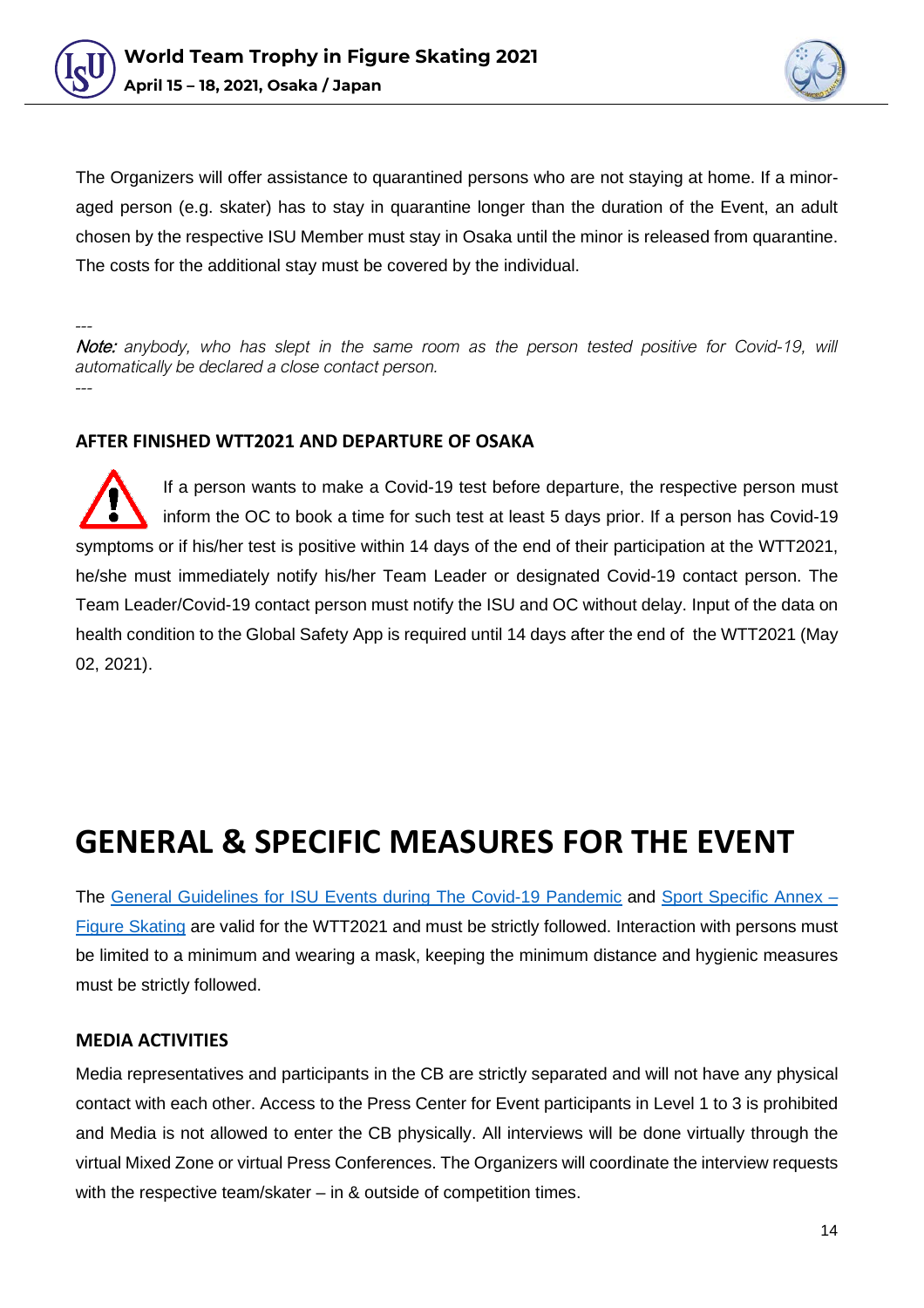



The Organizers will offer assistance to quarantined persons who are not staying at home. If a minoraged person (e.g. skater) has to stay in quarantine longer than the duration of the Event, an adult chosen by the respective ISU Member must stay in Osaka until the minor is released from quarantine. The costs for the additional stay must be covered by the individual.

*---* Note: *anybody, who has slept in the same room as the person tested positive for Covid-19, will automatically be declared a close contact person. ---*

#### <span id="page-13-0"></span>**AFTER FINISHED WTT2021 AND DEPARTURE OF OSAKA**

If a person wants to make a Covid-19 test before departure, the respective person must inform the OC to book a time for such test at least 5 days prior. If a person has Covid-19 symptoms or if his/her test is positive within 14 days of the end of their participation at the WTT2021, he/she must immediately notify his/her Team Leader or designated Covid-19 contact person. The Team Leader/Covid-19 contact person must notify the ISU and OC without delay. Input of the data on health condition to the Global Safety App is required until 14 days after the end of the WTT2021 (May 02, 2021).

### <span id="page-13-1"></span>**GENERAL & SPECIFIC MEASURES FOR THE EVENT**

The [General Guidelines for ISU Events during The Covid-19 Pandemic](https://www.isu.org/docman-documents-links/isu-files/documents-communications/clean-sport-1/coronavirus/24904-isu-general-guidelines-to-organize-an-isu-event-covid-19-august-31-final/file) and [Sport Specific Annex –](https://www.isu.org/docman-documents-links/isu-files/documents-communications/clean-sport-1/coronavirus/24905-isu-guidelines-covid-19-pandemic-sport-specific-annex-figure-skating-final-20-08-31/file) [Figure Skating](https://www.isu.org/docman-documents-links/isu-files/documents-communications/clean-sport-1/coronavirus/24905-isu-guidelines-covid-19-pandemic-sport-specific-annex-figure-skating-final-20-08-31/file) are valid for the WTT2021 and must be strictly followed. Interaction with persons must be limited to a minimum and wearing a mask, keeping the minimum distance and hygienic measures must be strictly followed.

#### **MEDIA ACTIVITIES**

Media representatives and participants in the CB are strictly separated and will not have any physical contact with each other. Access to the Press Center for Event participants in Level 1 to 3 is prohibited and Media is not allowed to enter the CB physically. All interviews will be done virtually through the virtual Mixed Zone or virtual Press Conferences. The Organizers will coordinate the interview requests with the respective team/skater – in & outside of competition times.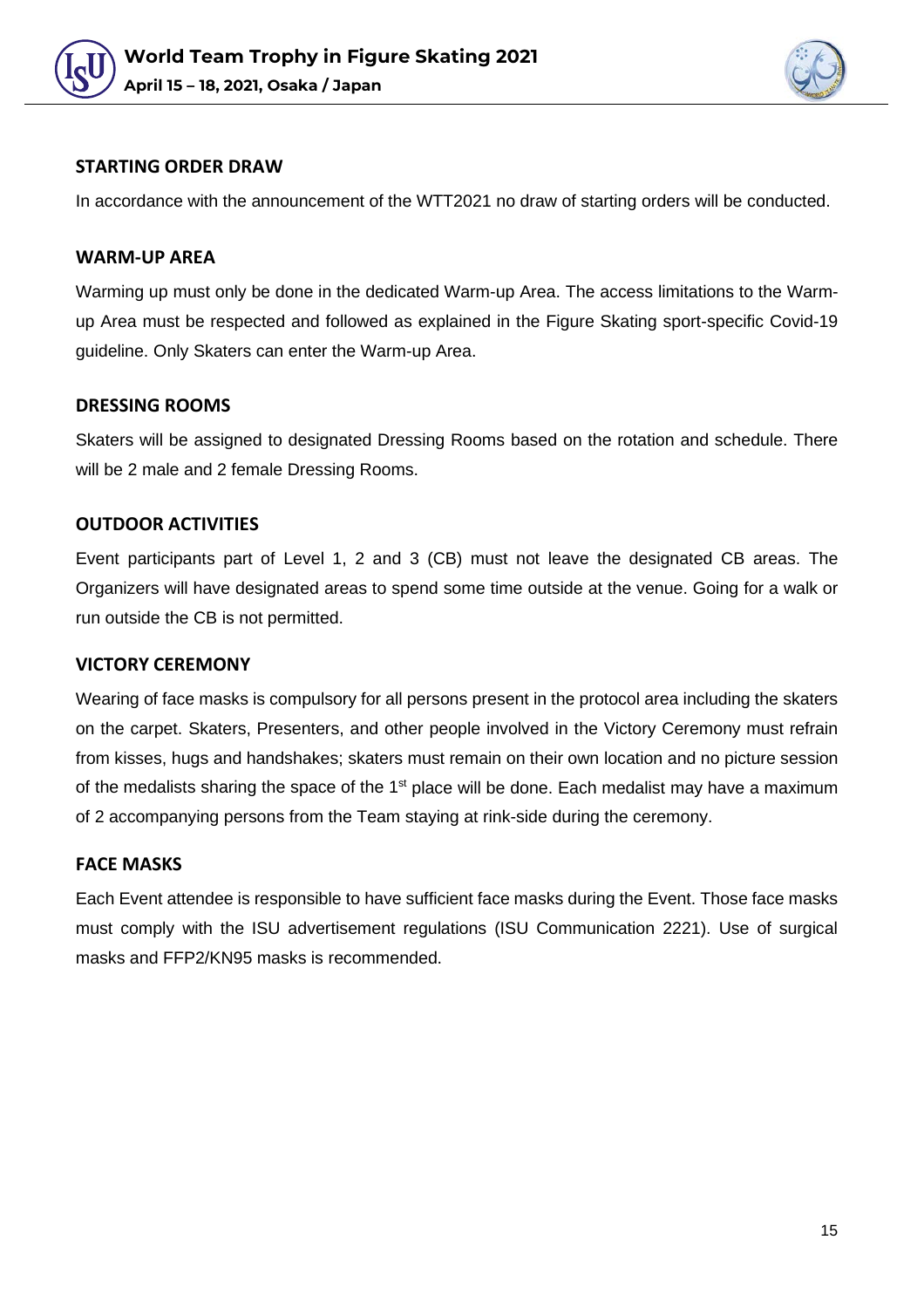



#### **STARTING ORDER DRAW**

In accordance with the announcement of the WTT2021 no draw of starting orders will be conducted.

#### **WARM-UP AREA**

Warming up must only be done in the dedicated Warm-up Area. The access limitations to the Warmup Area must be respected and followed as explained in the Figure Skating sport-specific Covid-19 guideline. Only Skaters can enter the Warm-up Area.

#### **DRESSING ROOMS**

Skaters will be assigned to designated Dressing Rooms based on the rotation and schedule. There will be 2 male and 2 female Dressing Rooms.

#### **OUTDOOR ACTIVITIES**

Event participants part of Level 1, 2 and 3 (CB) must not leave the designated CB areas. The Organizers will have designated areas to spend some time outside at the venue. Going for a walk or run outside the CB is not permitted.

#### **VICTORY CEREMONY**

Wearing of face masks is compulsory for all persons present in the protocol area including the skaters on the carpet. Skaters, Presenters, and other people involved in the Victory Ceremony must refrain from kisses, hugs and handshakes; skaters must remain on their own location and no picture session of the medalists sharing the space of the  $1<sup>st</sup>$  place will be done. Each medalist may have a maximum of 2 accompanying persons from the Team staying at rink-side during the ceremony.

#### **FACE MASKS**

Each Event attendee is responsible to have sufficient face masks during the Event. Those face masks must comply with the ISU advertisement regulations (ISU Communication 2221). Use of surgical masks and FFP2/KN95 masks is recommended.